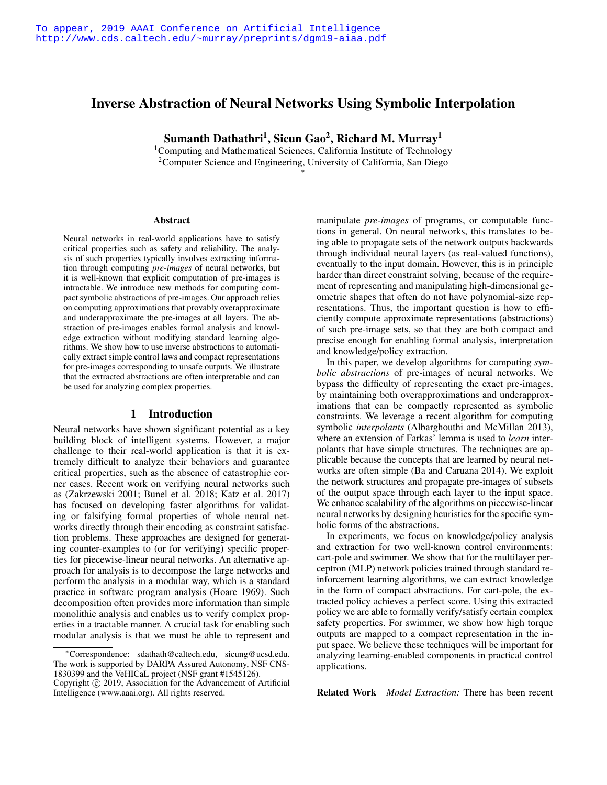# Inverse Abstraction of Neural Networks Using Symbolic Interpolation

Sumanth Dathathri<sup>1</sup>, Sicun Gao<sup>2</sup>, Richard M. Murray<sup>1</sup>

<sup>1</sup>Computing and Mathematical Sciences, California Institute of Technology 2Computer Science and Engineering, University of California, San Diego ⇤

#### **Abstract**

Neural networks in real-world applications have to satisfy critical properties such as safety and reliability. The analysis of such properties typically involves extracting information through computing *pre-images* of neural networks, but it is well-known that explicit computation of pre-images is intractable. We introduce new methods for computing compact symbolic abstractions of pre-images. Our approach relies on computing approximations that provably overapproximate and underapproximate the pre-images at all layers. The abstraction of pre-images enables formal analysis and knowledge extraction without modifying standard learning algorithms. We show how to use inverse abstractions to automatically extract simple control laws and compact representations for pre-images corresponding to unsafe outputs. We illustrate that the extracted abstractions are often interpretable and can be used for analyzing complex properties.

### 1 Introduction

Neural networks have shown significant potential as a key building block of intelligent systems. However, a major challenge to their real-world application is that it is extremely difficult to analyze their behaviors and guarantee critical properties, such as the absence of catastrophic corner cases. Recent work on verifying neural networks such as (Zakrzewski 2001; Bunel et al. 2018; Katz et al. 2017) has focused on developing faster algorithms for validating or falsifying formal properties of whole neural networks directly through their encoding as constraint satisfaction problems. These approaches are designed for generating counter-examples to (or for verifying) specific properties for piecewise-linear neural networks. An alternative approach for analysis is to decompose the large networks and perform the analysis in a modular way, which is a standard practice in software program analysis (Hoare 1969). Such decomposition often provides more information than simple monolithic analysis and enables us to verify complex properties in a tractable manner. A crucial task for enabling such modular analysis is that we must be able to represent and

manipulate *pre-images* of programs, or computable functions in general. On neural networks, this translates to being able to propagate sets of the network outputs backwards through individual neural layers (as real-valued functions), eventually to the input domain. However, this is in principle harder than direct constraint solving, because of the requirement of representing and manipulating high-dimensional geometric shapes that often do not have polynomial-size representations. Thus, the important question is how to efficiently compute approximate representations (abstractions) of such pre-image sets, so that they are both compact and precise enough for enabling formal analysis, interpretation and knowledge/policy extraction.

In this paper, we develop algorithms for computing *symbolic abstractions* of pre-images of neural networks. We bypass the difficulty of representing the exact pre-images, by maintaining both overapproximations and underapproximations that can be compactly represented as symbolic constraints. We leverage a recent algorithm for computing symbolic *interpolants* (Albarghouthi and McMillan 2013), where an extension of Farkas' lemma is used to *learn* interpolants that have simple structures. The techniques are applicable because the concepts that are learned by neural networks are often simple (Ba and Caruana 2014). We exploit the network structures and propagate pre-images of subsets of the output space through each layer to the input space. We enhance scalability of the algorithms on piecewise-linear neural networks by designing heuristics for the specific symbolic forms of the abstractions.

In experiments, we focus on knowledge/policy analysis and extraction for two well-known control environments: cart-pole and swimmer. We show that for the multilayer perceptron (MLP) network policies trained through standard reinforcement learning algorithms, we can extract knowledge in the form of compact abstractions. For cart-pole, the extracted policy achieves a perfect score. Using this extracted policy we are able to formally verify/satisfy certain complex safety properties. For swimmer, we show how high torque outputs are mapped to a compact representation in the input space. We believe these techniques will be important for analyzing learning-enabled components in practical control applications.

Related Work *Model Extraction:* There has been recent

<sup>⇤</sup>Correspondence: sdathath@caltech.edu, sicung@ucsd.edu. The work is supported by DARPA Assured Autonomy, NSF CNS-1830399 and the VeHICaL project (NSF grant #1545126).

Copyright  $\odot$  2019, Association for the Advancement of Artificial Intelligence (www.aaai.org). All rights reserved.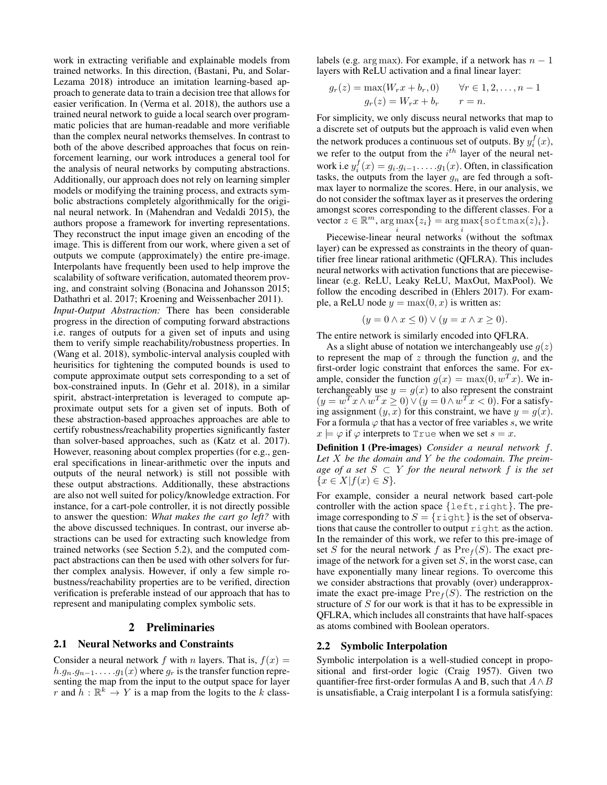work in extracting verifiable and explainable models from trained networks. In this direction, (Bastani, Pu, and Solar-Lezama 2018) introduce an imitation learning-based approach to generate data to train a decision tree that allows for easier verification. In (Verma et al. 2018), the authors use a trained neural network to guide a local search over programmatic policies that are human-readable and more verifiable than the complex neural networks themselves. In contrast to both of the above described approaches that focus on reinforcement learning, our work introduces a general tool for the analysis of neural networks by computing abstractions. Additionally, our approach does not rely on learning simpler models or modifying the training process, and extracts symbolic abstractions completely algorithmically for the original neural network. In (Mahendran and Vedaldi 2015), the authors propose a framework for inverting representations. They reconstruct the input image given an encoding of the image. This is different from our work, where given a set of outputs we compute (approximately) the entire pre-image. Interpolants have frequently been used to help improve the scalability of software verification, automated theorem proving, and constraint solving (Bonacina and Johansson 2015; Dathathri et al. 2017; Kroening and Weissenbacher 2011). *Input-Output Abstraction:* There has been considerable progress in the direction of computing forward abstractions i.e. ranges of outputs for a given set of inputs and using them to verify simple reachability/robustness properties. In (Wang et al. 2018), symbolic-interval analysis coupled with heurisitics for tightening the computed bounds is used to compute approximate output sets corresponding to a set of box-constrained inputs. In (Gehr et al. 2018), in a similar spirit, abstract-interpretation is leveraged to compute approximate output sets for a given set of inputs. Both of these abstraction-based approaches approaches are able to certify robustness/reachability properties significantly faster than solver-based approaches, such as (Katz et al. 2017). However, reasoning about complex properties (for e.g., general specifications in linear-arithmetic over the inputs and outputs of the neural network) is still not possible with these output abstractions. Additionally, these abstractions are also not well suited for policy/knowledge extraction. For instance, for a cart-pole controller, it is not directly possible to answer the question: *What makes the cart go left?* with the above discussed techniques. In contrast, our inverse abstractions can be used for extracting such knowledge from trained networks (see Section 5.2), and the computed compact abstractions can then be used with other solvers for further complex analysis. However, if only a few simple robustness/reachability properties are to be verified, direction verification is preferable instead of our approach that has to represent and manipulating complex symbolic sets.

### 2 Preliminaries

### 2.1 Neural Networks and Constraints

Consider a neural network  $f$  with  $n$  layers. That is,  $f(x) =$  $h.g_n.g_{n-1}$ ..... $g_1(x)$  where  $g_r$  is the transfer function representing the map from the input to the output space for layer *r* and  $\overline{h}$  :  $\mathbb{R}^k \to Y$  is a map from the logits to the *k* classlabels (e.g. arg max). For example, if a network has  $n-1$ layers with ReLU activation and a final linear layer:

$$
g_r(z) = \max(W_r x + b_r, 0) \qquad \forall r \in 1, 2, \dots, n-1
$$

$$
g_r(z) = W_r x + b_r \qquad r = n.
$$

For simplicity, we only discuss neural networks that map to a discrete set of outputs but the approach is valid even when the network produces a continuous set of outputs. By  $y_i^f(x)$ , we refer to the output from the *i th* layer of the neural network i.e  $y_i^f(x) = g_i \cdot g_{i-1} \cdot \ldots \cdot g_1(x)$ . Often, in classification tasks, the outputs from the layer  $q_n$  are fed through a softmax layer to normalize the scores. Here, in our analysis, we do not consider the softmax layer as it preserves the ordering amongst scores corresponding to the different classes. For a  $\text{vector } z \in \mathbb{R}^m, \arg \max\{z_i\} = \arg \max\{\text{softmax}(z_i)\}.$ 

Piecewise-linear neural networks (without the softmax layer) can be expressed as constraints in the theory of quantifier free linear rational arithmetic (QFLRA). This includes neural networks with activation functions that are piecewiselinear (e.g. ReLU, Leaky ReLU, MaxOut, MaxPool). We follow the encoding described in (Ehlers 2017). For example, a ReLU node  $y = \max(0, x)$  is written as:

$$
(y = 0 \land x \le 0) \lor (y = x \land x \ge 0).
$$

The entire network is similarly encoded into QFLRA.

As a slight abuse of notation we interchangeably use *g*(*z*) to represent the map of *z* through the function *g*, and the first-order logic constraint that enforces the same. For example, consider the function  $g(x) = \max(0, w^T x)$ . We interchangeably use  $y = g(x)$  to also represent the constraint  $(y = w<sup>T</sup> x \wedge w<sup>T</sup> x \ge 0) \vee (y = 0 \wedge w<sup>T</sup> x < 0)$ . For a satisfying assignment  $(y, x)$  for this constraint, we have  $y = g(x)$ . For a formula  $\varphi$  that has a vector of free variables *s*, we write  $x \models \varphi$  if  $\varphi$  interprets to True when we set  $s = x$ .

Definition 1 (Pre-images) *Consider a neural network f. Let X be the domain and Y be the codomain. The preimage of a set*  $S \subset Y$  *for the neural network*  $f$  *is the set*  ${x \in X | f(x) \in S}$ 

For example, consider a neural network based cart-pole controller with the action space *{*left*,* right*}*. The preimage corresponding to  $S = \{ \text{right} \}$  is the set of observations that cause the controller to output right as the action. In the remainder of this work, we refer to this pre-image of set *S* for the neural network *f* as  $Pre<sub>f</sub>(S)$ . The exact preimage of the network for a given set *S*, in the worst case, can have exponentially many linear regions. To overcome this we consider abstractions that provably (over) underapproximate the exact pre-image  $Pre<sub>f</sub>(S)$ . The restriction on the structure of *S* for our work is that it has to be expressible in QFLRA, which includes all constraints that have half-spaces as atoms combined with Boolean operators.

### 2.2 Symbolic Interpolation

Symbolic interpolation is a well-studied concept in propositional and first-order logic (Craig 1957). Given two quantifier-free first-order formulas A and B, such that  $A \wedge B$ is unsatisfiable, a Craig interpolant I is a formula satisfying: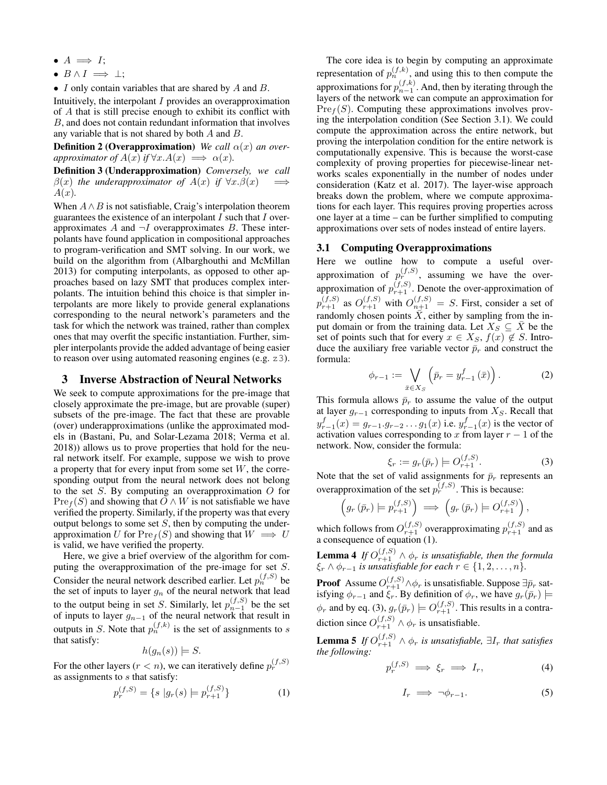- $A \implies I$ ;
- $B \wedge I \implies \bot$ :
- *• I* only contain variables that are shared by *A* and *B*.

Intuitively, the interpolant *I* provides an overapproximation of *A* that is still precise enough to exhibit its conflict with *B*, and does not contain redundant information that involves any variable that is not shared by both *A* and *B*.

**Definition 2 (Overapproximation)** *We call*  $\alpha(x)$  *an overapproximator of*  $A(x)$  *if*  $\forall x.A(x) \implies \alpha(x)$ *.* 

Definition 3 (Underapproximation) *Conversely, we call*  $\beta(x)$  *the underapproximator of*  $A(x)$  *if*  $\forall x.\beta(x)$ *A*(*x*)*.*

When  $A \wedge B$  is not satisfiable, Craig's interpolation theorem guarantees the existence of an interpolant *I* such that *I* overapproximates  $A$  and  $\neg I$  overapproximates  $B$ . These interpolants have found application in compositional approaches to program-verification and SMT solving. In our work, we build on the algorithm from (Albarghouthi and McMillan 2013) for computing interpolants, as opposed to other approaches based on lazy SMT that produces complex interpolants. The intuition behind this choice is that simpler interpolants are more likely to provide general explanations corresponding to the neural network's parameters and the task for which the network was trained, rather than complex ones that may overfit the specific instantiation. Further, simpler interpolants provide the added advantage of being easier to reason over using automated reasoning engines (e.g. z3).

### 3 Inverse Abstraction of Neural Networks

We seek to compute approximations for the pre-image that closely approximate the pre-image, but are provable (super) subsets of the pre-image. The fact that these are provable (over) underapproximations (unlike the approximated models in (Bastani, Pu, and Solar-Lezama 2018; Verma et al. 2018)) allows us to prove properties that hold for the neural network itself. For example, suppose we wish to prove a property that for every input from some set *W*, the corresponding output from the neural network does not belong to the set *S*. By computing an overapproximation *O* for  $Pre<sub>f</sub>(S)$  and showing that  $O \wedge W$  is not satisfiable we have verified the property. Similarly, if the property was that every output belongs to some set *S*, then by computing the underapproximation *U* for  $\text{Pre}_f(S)$  and showing that  $W \implies U$ is valid, we have verified the property.

Here, we give a brief overview of the algorithm for computing the overapproximation of the pre-image for set *S*. Consider the neural network described earlier. Let  $p_n^{(f,S)}$  be the set of inputs to layer  $g_n$  of the neural network that lead to the output being in set *S*. Similarly, let  $p_{n-1}^{(f,S)}$  be the set of inputs to layer  $g_{n-1}$  of the neural network that result in outputs in *S*. Note that  $p_n^{(f,k)}$  is the set of assignments to *s* that satisfy:

$$
h(g_n(s)) \models S.
$$

For the other layers ( $r < n$ ), we can iteratively define  $p_r^{(f,S)}$ as assignments to *s* that satisfy:

$$
p_r^{(f,S)} = \{ s \mid g_r(s) \models p_{r+1}^{(f,S)} \}
$$
 (1)

The core idea is to begin by computing an approximate representation of  $p_n^{(f,k)}$ , and using this to then compute the approximations for  $p_{n-1}^{(f,k)}$ . And, then by iterating through the layers of the network we can compute an approximation for  $Pre<sub>f</sub>(S)$ . Computing these approximations involves proving the interpolation condition (See Section 3.1). We could compute the approximation across the entire network, but proving the interpolation condition for the entire network is computationally expensive. This is because the worst-case complexity of proving properties for piecewise-linear networks scales exponentially in the number of nodes under consideration (Katz et al. 2017). The layer-wise approach breaks down the problem, where we compute approximations for each layer. This requires proving properties across one layer at a time – can be further simplified to computing approximations over sets of nodes instead of entire layers.

#### 3.1 Computing Overapproximations

Here we outline how to compute a useful overapproximation of  $p_r^{(f,S)}$ , assuming we have the overapproximation of  $p_{r+1}^{(f,S)}$ . Denote the over-approximation of  $p_{r+1}^{(f,S)}$  as  $O_{r+1}^{(f,S)}$  with  $O_{n+1}^{(f,S)} = S$ . First, consider a set of randomly chosen points  $\overline{X}$ , either by sampling from the input domain or from the training data. Let  $X_S \subseteq \overline{X}$  be the set of points such that for every  $x \in X_S$ ,  $f(x) \notin S$ . Introduce the auxiliary free variable vector  $\bar{p}_r$  and construct the formula:

$$
\phi_{r-1} := \bigvee_{\bar{x} \in X_S} \left( \bar{p}_r = y_{r-1}^f \left( \bar{x} \right) \right). \tag{2}
$$

This formula allows  $\bar{p}_r$  to assume the value of the output at layer  $g_{r-1}$  corresponding to inputs from  $X_S$ . Recall that  $y_{r-1}^f(x) = g_{r-1} \cdot g_{r-2} \dots g_1(x)$  i.e.  $y_{r-1}^f(x)$  is the vector of activation values corresponding to  $x$  from layer  $r - 1$  of the network. Now, consider the formula:

$$
\xi_r := g_r(\bar{p}_r) \models O_{r+1}^{(f,S)}.
$$
 (3)

Note that the set of valid assignments for  $\bar{p}_r$  represents an overapproximation of the set  $p_r^{(f,S)}$ . This is because:

$$
\left(g_r\left(\bar{p}_r\right) \models p_{r+1}^{\left(f,S\right)}\right) \implies \left(g_r\left(\bar{p}_r\right) \models O_{r+1}^{\left(f,S\right)}\right),\,
$$

which follows from  $O_{r+1}^{(f,S)}$  overapproximating  $p_{r+1}^{(f,S)}$  and as a consequence of equation (1).

**Lemma 4** If  $O_{r+1}^{(f,S)} \wedge \phi_r$  is unsatisfiable, then the formula  $\xi_r$   $\wedge$   $\phi_{r-1}$  *is unsatisfiable for each*  $r \in \{1, 2, ..., n\}$ *.* 

**Proof** Assume  $O_{r+1}^{(f,S)} \wedge \phi_r$  is unsatisfiable. Suppose  $\exists \bar{p}_r$  satisfying  $\phi_{r-1}$  and  $\xi_r$ . By definition of  $\phi_r$ , we have  $g_r(\bar{p}_r) \models$  $\phi_r$  and by eq. (3),  $g_r(\bar{p}_r) \models O_{r+1}^{(f,S)}$ . This results in a contradiction since  $O_{r+1}^{(f,S)} \wedge \phi_r$  is unsatisfiable.

**Lemma 5** *If*  $O_{r+1}^{(f,S)} \wedge \phi_r$  *is unsatisfiable,*  $\exists I_r$  *that satisfies the following:*

$$
p_r^{(f,S)} \implies \xi_r \implies I_r,\tag{4}
$$

$$
I_r \implies \neg \phi_{r-1}.\tag{5}
$$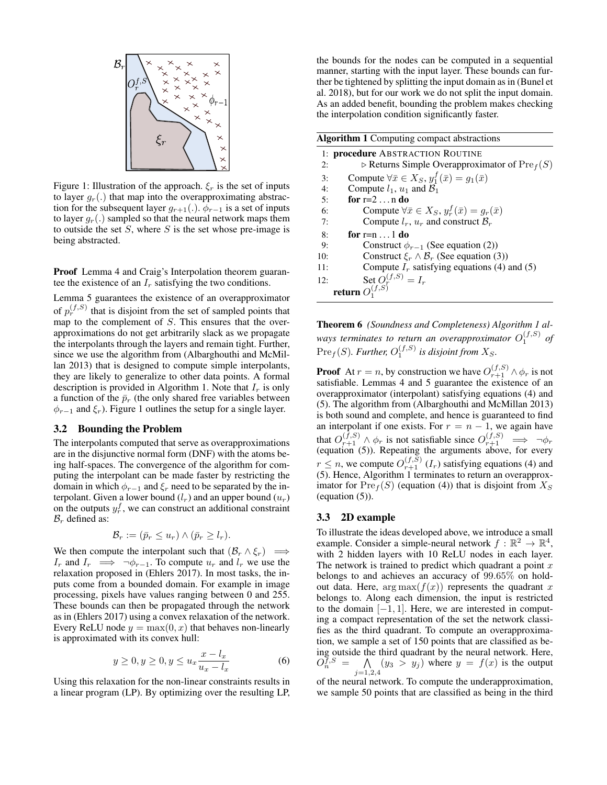

Figure 1: Illustration of the approach.  $\xi_r$  is the set of inputs to layer  $g_r(.)$  that map into the overapproximating abstraction for the subsequent layer  $g_{r+1}$ (.).  $\phi_{r-1}$  is a set of inputs to layer  $q_r(.)$  sampled so that the neural network maps them to outside the set *S*, where *S* is the set whose pre-image is being abstracted.

Proof Lemma 4 and Craig's Interpolation theorem guarantee the existence of an  $I_r$  satisfying the two conditions.

Lemma 5 guarantees the existence of an overapproximator of  $p_r^{(f,S)}$  that is disjoint from the set of sampled points that map to the complement of *S*. This ensures that the overapproximations do not get arbitrarily slack as we propagate the interpolants through the layers and remain tight. Further, since we use the algorithm from (Albarghouthi and McMillan 2013) that is designed to compute simple interpolants, they are likely to generalize to other data points. A formal description is provided in Algorithm 1. Note that  $I_r$  is only a function of the  $\bar{p}_r$  (the only shared free variables between  $\phi_{r-1}$  and  $\xi_r$ ). Figure 1 outlines the setup for a single layer.

#### 3.2 Bounding the Problem

The interpolants computed that serve as overapproximations are in the disjunctive normal form (DNF) with the atoms being half-spaces. The convergence of the algorithm for computing the interpolant can be made faster by restricting the domain in which  $\phi_{r-1}$  and  $\xi_r$  need to be separated by the interpolant. Given a lower bound  $(l_r)$  and an upper bound  $(u_r)$ on the outputs  $y_r^f$ , we can construct an additional constraint  $B_r$  defined as:

$$
\mathcal{B}_r := (\bar{p}_r \le u_r) \wedge (\bar{p}_r \ge l_r).
$$

We then compute the interpolant such that  $(\mathcal{B}_r \wedge \xi_r) \implies$ *I<sub>r</sub>* and *I<sub>r</sub>*  $\implies \neg \phi_{r-1}$ . To compute  $u_r$  and  $l_r$  we use the relaxation proposed in (Ehlers 2017). In most tasks, the inputs come from a bounded domain. For example in image processing, pixels have values ranging between 0 and 255. These bounds can then be propagated through the network as in (Ehlers 2017) using a convex relaxation of the network. Every ReLU node  $y = \max(0, x)$  that behaves non-linearly is approximated with its convex hull:

$$
y \ge 0, y \ge 0, y \le u_x \frac{x - l_x}{u_x - l_x} \tag{6}
$$

Using this relaxation for the non-linear constraints results in a linear program (LP). By optimizing over the resulting LP,

the bounds for the nodes can be computed in a sequential manner, starting with the input layer. These bounds can further be tightened by splitting the input domain as in (Bunel et al. 2018), but for our work we do not split the input domain. As an added benefit, bounding the problem makes checking the interpolation condition significantly faster.

| <b>Algorithm 1</b> Computing compact abstractions |                                                                       |  |
|---------------------------------------------------|-----------------------------------------------------------------------|--|
|                                                   | 1: <b>procedure</b> ABSTRACTION ROUTINE                               |  |
| 2:                                                | $\triangleright$ Returns Simple Overapproximator of $\text{Pre}_f(S)$ |  |
| 3:                                                | Compute $\forall \bar{x} \in X_S$ , $y_1^f(\bar{x}) = g_1(\bar{x})$   |  |
| 4:                                                | Compute $l_1$ , $u_1$ and $B_1$                                       |  |
| 5:                                                | for $r=2n$ do                                                         |  |
| 6:                                                | Compute $\forall \bar{x} \in X_S$ , $y_r^f(\bar{x}) = g_r(\bar{x})$   |  |
| 7:                                                | Compute $l_r$ , $u_r$ and construct $B_r$                             |  |
| 8:                                                | for $r=n1$ do                                                         |  |
| 9:                                                | Construct $\phi_{r-1}$ (See equation (2))                             |  |
| 10:                                               | Construct $\xi_r \wedge \mathcal{B}_r$ (See equation (3))             |  |
| 11:                                               | Compute $I_r$ satisfying equations (4) and (5)                        |  |
| 12:                                               |                                                                       |  |
|                                                   | Set $\overrightarrow{O_{1}^{(f,S)}} = I_r$<br>return $O_1^{(f,S)}$    |  |

Theorem 6 *(Soundness and Completeness) Algorithm 1 al*ways terminates to return an overapproximator  $O_1^{(f,S)}$  of  $\text{Pre}_f(S)$ *. Further,*  $O_1^{(f,S)}$  *is disjoint from*  $X_S$ *.* 

**Proof** At  $r = n$ , by construction we have  $O_{r+1}^{(f,S)} \wedge \phi_r$  is not satisfiable. Lemmas 4 and 5 guarantee the existence of an overapproximator (interpolant) satisfying equations (4) and (5). The algorithm from (Albarghouthi and McMillan 2013) is both sound and complete, and hence is guaranteed to find an interpolant if one exists. For  $r = n - 1$ , we again have that  $O_{r+1}^{(f,S)} \wedge \phi_r$  is not satisfiable since  $O_{r+1}^{(f,S)} \implies \neg \phi_r$  (equation (5)). Repeating the arguments above, for every  $r \leq n$ , we compute  $O_{r+1}^{(f,S)}(I_r)$  satisfying equations (4) and (5). Hence, Algorithm 1 terminates to return an overapproximator for  $\text{Pre}_f(S)$  (equation (4)) that is disjoint from  $X_S$ (equation (5)).

### 3.3 2D example

To illustrate the ideas developed above, we introduce a small example. Consider a simple-neural network  $f : \mathbb{R}^2 \to \mathbb{R}^4$ , with 2 hidden layers with 10 ReLU nodes in each layer. The network is trained to predict which quadrant a point *x* belongs to and achieves an accuracy of 99*.*65% on holdout data. Here,  $\arg \max(f(x))$  represents the quadrant *x* belongs to. Along each dimension, the input is restricted to the domain  $[-1, 1]$ . Here, we are interested in computing a compact representation of the set the network classifies as the third quadrant. To compute an overapproximation, we sample a set of 150 points that are classified as being outside the third quadrant by the neural network. Here,  $O_n^{f,S}$  $\widetilde{f}_n^{\overline{f},S} = \bigwedge_{j=1,2,4} (y_3 > y_j)$  where  $y = f(x)$  is the output

of the neural network. To compute the underapproximation, we sample 50 points that are classified as being in the third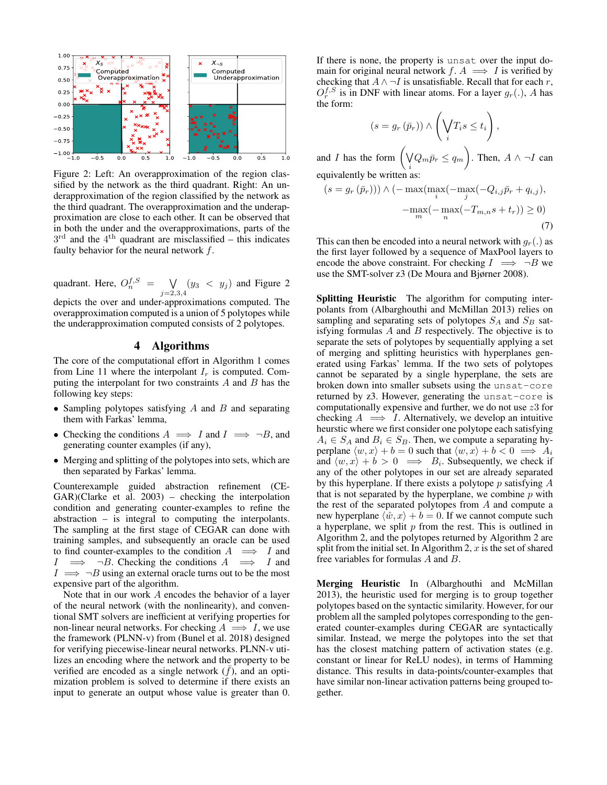

Figure 2: Left: An overapproximation of the region classified by the network as the third quadrant. Right: An underapproximation of the region classified by the network as the third quadrant. The overapproximation and the underapproximation are close to each other. It can be observed that in both the under and the overapproximations, parts of the  $3<sup>rd</sup>$  and the  $4<sup>th</sup>$  quadrant are misclassified – this indicates faulty behavior for the neural network *f*.

quadrant. Here,  $O_n^{f,S} = \bigvee_{j=2,3,4} (y_3 < y_j)$  and Figure 2

depicts the over and under-approximations computed. The overapproximation computed is a union of 5 polytopes while the underapproximation computed consists of 2 polytopes.

## 4 Algorithms

The core of the computational effort in Algorithm 1 comes from Line 11 where the interpolant  $I_r$  is computed. Computing the interpolant for two constraints *A* and *B* has the following key steps:

- *•* Sampling polytopes satisfying *A* and *B* and separating them with Farkas' lemma,
- Checking the conditions  $A \implies I$  and  $I \implies \neg B$ , and generating counter examples (if any),
- *•* Merging and splitting of the polytopes into sets, which are then separated by Farkas' lemma.

Counterexample guided abstraction refinement (CE-GAR)(Clarke et al. 2003) – checking the interpolation condition and generating counter-examples to refine the abstraction – is integral to computing the interpolants. The sampling at the first stage of CEGAR can done with training samples, and subsequently an oracle can be used to find counter-examples to the condition  $A \implies I$  and  $I \implies \neg B$ . Checking the conditions  $A \implies I$  and  $\neg B$ . Checking the conditions  $A \implies I$  and  $I \implies \neg B$  using an external oracle turns out to be the most expensive part of the algorithm.

Note that in our work *A* encodes the behavior of a layer of the neural network (with the nonlinearity), and conventional SMT solvers are inefficient at verifying properties for non-linear neural networks. For checking  $A \implies I$ , we use the framework (PLNN-v) from (Bunel et al. 2018) designed for verifying piecewise-linear neural networks. PLNN-v utilizes an encoding where the network and the property to be verified are encoded as a single network  $(f)$ , and an optimization problem is solved to determine if there exists an input to generate an output whose value is greater than 0.

If there is none, the property is unsat over the input domain for original neural network  $f: A \implies I$  is verified by checking that  $A \wedge \neg I$  is unsatisfiable. Recall that for each *r*,  $O_r^{f, S}$  is in DNF with linear atoms. For a layer  $g_r(.)$ , *A* has the form:

$$
(s = g_r(\bar{p}_r)) \wedge \left(\bigvee_i T_i s \le t_i\right),
$$

and *I* has the form  $\left(\sqrt{\phantom{a}}\right)$  $\sqrt{Q_m p_r} \leq q_m$ ◆ . Then,  $A \wedge \neg I$  can equivalently be written as:

$$
(s = g_r(\bar{p}_r))) \wedge \left( -\max_{i} (\max_{j} (-q_{i,j}\bar{p}_r + q_{i,j}), -\max_{m} (-\max_{n} (-T_{m,n}s + t_r)) \ge 0 \right)
$$
\n
$$
(7)
$$

This can then be encoded into a neural network with  $q_r(.)$  as the first layer followed by a sequence of MaxPool layers to encode the above constraint. For checking  $I \implies \neg B$  we use the SMT-solver z3 (De Moura and Bjørner 2008).

Splitting Heuristic The algorithm for computing interpolants from (Albarghouthi and McMillan 2013) relies on sampling and separating sets of polytopes *S<sup>A</sup>* and *S<sup>B</sup>* satisfying formulas *A* and *B* respectively. The objective is to separate the sets of polytopes by sequentially applying a set of merging and splitting heuristics with hyperplanes generated using Farkas' lemma. If the two sets of polytopes cannot be separated by a single hyperplane, the sets are broken down into smaller subsets using the unsat-core returned by z3. However, generating the unsat-core is computationally expensive and further, we do not use *z*3 for checking  $A \implies I$ . Alternatively, we develop an intuitive heurstic where we first consider one polytope each satisfying  $A_i \in S_A$  and  $B_i \in S_B$ . Then, we compute a separating hyperplane  $\langle w, x \rangle + b = 0$  such that  $\langle w, x \rangle + b < 0 \implies A_i$ and  $\langle w, x \rangle + b > 0 \implies B_i$ . Subsequently, we check if any of the other polytopes in our set are already separated by this hyperplane. If there exists a polytope *p* satisfying *A* that is not separated by the hyperplane, we combine *p* with the rest of the separated polytopes from *A* and compute a new hyperplane  $\langle \hat{w}, x \rangle + b = 0$ . If we cannot compute such a hyperplane, we split *p* from the rest. This is outlined in Algorithm 2, and the polytopes returned by Algorithm 2 are split from the initial set. In Algorithm 2, *x* is the set of shared free variables for formulas *A* and *B*.

Merging Heuristic In (Albarghouthi and McMillan 2013), the heuristic used for merging is to group together polytopes based on the syntactic similarity. However, for our problem all the sampled polytopes corresponding to the generated counter-examples during CEGAR are syntactically similar. Instead, we merge the polytopes into the set that has the closest matching pattern of activation states (e.g. constant or linear for ReLU nodes), in terms of Hamming distance. This results in data-points/counter-examples that have similar non-linear activation patterns being grouped together.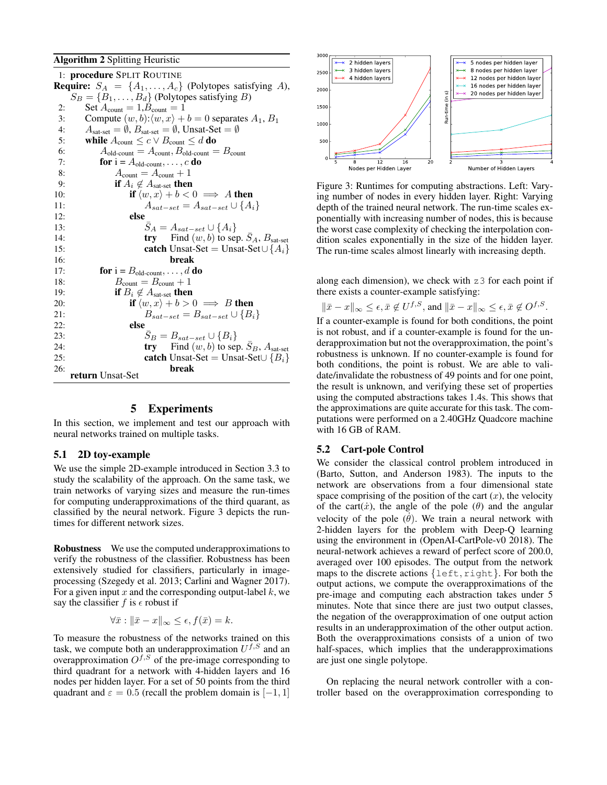#### Algorithm 2 Splitting Heuristic

|          | 1: procedure SPLIT ROUTINE                                                                    |
|----------|-----------------------------------------------------------------------------------------------|
|          | <b>Require:</b> $S_A = \{A_1, \ldots, A_c\}$ (Polytopes satisfying A),                        |
|          | $S_B = \{B_1, \ldots, B_d\}$ (Polytopes satisfying B)                                         |
| 2:<br>3: | Set $A_{\text{count}} = 1, B_{\text{count}} = 1$                                              |
|          | Compute $(w, b): \langle w, x \rangle + b = 0$ separates $A_1, B_1$                           |
| 4:       | $A_{\text{sat-set}} = \emptyset$ , $B_{\text{sat-set}} = \emptyset$ , Unsat-Set $= \emptyset$ |
| 5:<br>6: | while $A_{\text{count}} \leq c \vee B_{\text{count}} \leq d$ do                               |
|          | $A_{old\text{-count}} = A_{\text{count}}, B_{old\text{-count}} = B_{\text{count}}$            |
| 7:       | for $i = A_{old-count}, \ldots, c$ do                                                         |
| 8:       | $A_{\text{count}} = A_{\text{count}} + 1$                                                     |
| 9:       | if $A_i \notin A_{\text{sat-set}}$ then                                                       |
| 10:      | if $\langle w, x \rangle + b < 0 \implies A$ then                                             |
| 11:      | $A_{sat-set} = A_{sat-set} \cup \{A_i\}$                                                      |
| 12:      | else                                                                                          |
| 13:      | $S_A = A_{sat-set} \cup \{A_i\}$                                                              |
| 14:      | <b>try</b> Find $(w, b)$ to sep. $S_A$ , $B_{\text{sat-set}}$                                 |
| 15:      | <b>catch</b> Unsat-Set = Unsat-Set $\cup$ { $A_i$ }                                           |
| 16:      | break                                                                                         |
| 17:      | for $i = B_{old-count}, \ldots, d$ do                                                         |
| 18:      | $B_{\text{count}} = B_{\text{count}} + 1$                                                     |
| 19:      | if $B_i \notin A_{\text{sat-set}}$ then                                                       |
| 20:      | if $\langle w, x \rangle + b > 0 \implies B$ then                                             |
| 21:      | $B_{sat-set} = B_{sat-set} \cup \{B_i\}$                                                      |
| 22:      | else                                                                                          |
| 23:      | $S_B = B_{sat-set} \cup \{B_i\}$                                                              |
| 24:      | <b>try</b> Find $(w, b)$ to sep. $S_B$ , $A_{\text{sat-set}}$                                 |
| 25:      | <b>catch</b> Unsat-Set = Unsat-Set $\cup$ { $B_i$ }                                           |
| 26:      | break<br>return Unsat-Set                                                                     |

### 5 Experiments

In this section, we implement and test our approach with neural networks trained on multiple tasks.

#### 5.1 2D toy-example

We use the simple 2D-example introduced in Section 3.3 to study the scalability of the approach. On the same task, we train networks of varying sizes and measure the run-times for computing underapproximations of the third quarant, as classified by the neural network. Figure 3 depicts the runtimes for different network sizes.

Robustness We use the computed underapproximations to verify the robustness of the classifier. Robustness has been extensively studied for classifiers, particularly in imageprocessing (Szegedy et al. 2013; Carlini and Wagner 2017). For a given input *x* and the corresponding output-label *k*, we say the classifier  $f$  is  $\epsilon$  robust if

$$
\forall \bar{x} : \|\bar{x} - x\|_{\infty} \leq \epsilon, f(\bar{x}) = k.
$$

To measure the robustness of the networks trained on this task, we compute both an underapproximation *Uf,S* and an overapproximation  $O^{f,S}$  of the pre-image corresponding to third quadrant for a network with 4-hidden layers and 16 nodes per hidden layer. For a set of 50 points from the third quadrant and  $\varepsilon = 0.5$  (recall the problem domain is  $[-1, 1]$ )



Figure 3: Runtimes for computing abstractions. Left: Varying number of nodes in every hidden layer. Right: Varying depth of the trained neural network. The run-time scales exponentially with increasing number of nodes, this is because the worst case complexity of checking the interpolation condition scales exponentially in the size of the hidden layer. The run-time scales almost linearly with increasing depth.

along each dimension), we check with z3 for each point if there exists a counter-example satisfying:

$$
\|\bar{x} - x\|_{\infty} \le \epsilon, \bar{x} \notin U^{f,S}, \text{ and } \|\bar{x} - x\|_{\infty} \le \epsilon, \bar{x} \notin O^{f,S}.
$$
  
If a counter-example is found for both conditions, the point

is not robust, and if a counter-example is found for the underapproximation but not the overapproximation, the point's robustness is unknown. If no counter-example is found for both conditions, the point is robust. We are able to validate/invalidate the robustness of 49 points and for one point, the result is unknown, and verifying these set of properties using the computed abstractions takes 1.4s. This shows that the approximations are quite accurate for this task. The computations were performed on a 2.40GHz Quadcore machine with 16 GB of RAM.

#### 5.2 Cart-pole Control

We consider the classical control problem introduced in (Barto, Sutton, and Anderson 1983). The inputs to the network are observations from a four dimensional state space comprising of the position of the cart  $(x)$ , the velocity of the cart $(\dot{x})$ , the angle of the pole  $(\theta)$  and the angular velocity of the pole  $(\dot{\theta})$ . We train a neural network with 2-hidden layers for the problem with Deep-Q learning using the environment in (OpenAI-CartPole-v0 2018). The neural-network achieves a reward of perfect score of 200.0, averaged over 100 episodes. The output from the network maps to the discrete actions *{*left*,* right*}*. For both the output actions, we compute the overapproximations of the pre-image and computing each abstraction takes under 5 minutes. Note that since there are just two output classes, the negation of the overapproximation of one output action results in an underapproximation of the other output action. Both the overapproximations consists of a union of two half-spaces, which implies that the underapproximations are just one single polytope.

On replacing the neural network controller with a controller based on the overapproximation corresponding to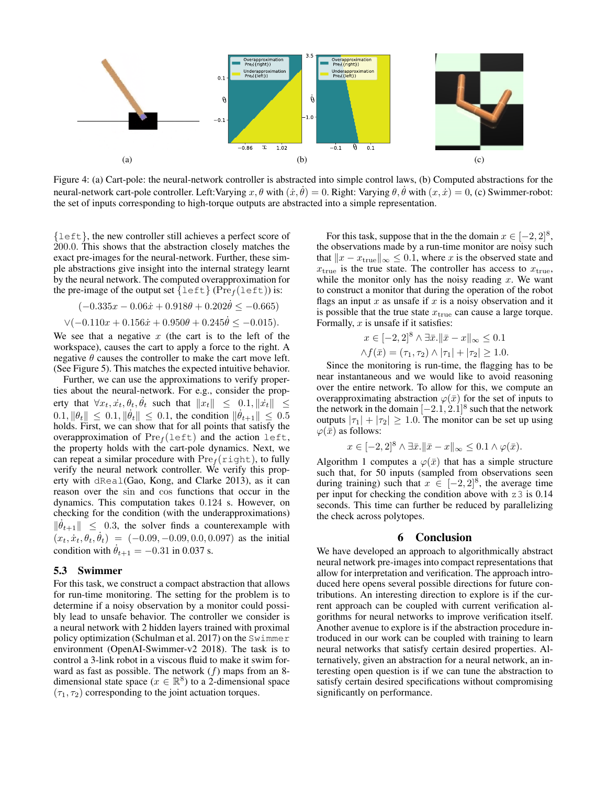

Figure 4: (a) Cart-pole: the neural-network controller is abstracted into simple control laws, (b) Computed abstractions for the neural-network cart-pole controller. Left: Varying  $x, \theta$  with  $(\dot{x}, \dot{\theta}) = 0$ . Right: Varying  $\theta, \dot{\theta}$  with  $(x, \dot{x}) = 0$ , (c) Swimmer-robot: the set of inputs corresponding to high-torque outputs are abstracted into a simple representation.

*{*left*}*, the new controller still achieves a perfect score of 200*.*0. This shows that the abstraction closely matches the exact pre-images for the neural-network. Further, these simple abstractions give insight into the internal strategy learnt by the neural network. The computed overapproximation for the pre-image of the output set  $\{\text{left}\}$  (Pre<sub>f</sub>(left)) is:

$$
(-0.335x - 0.06\dot{x} + 0.918\theta + 0.202\dot{\theta} \le -0.665)
$$
  
 
$$
\forall (-0.110x + 0.156\dot{x} + 0.950\theta + 0.245\dot{\theta} \le -0.015).
$$

We see that a negative  $x$  (the cart is to the left of the workspace), causes the cart to apply a force to the right. A negative  $\theta$  causes the controller to make the cart move left. (See Figure 5). This matches the expected intuitive behavior.

Further, we can use the approximations to verify properties about the neural-network. For e.g., consider the property that  $\forall x_t, \dot{x}_t, \theta_t, \dot{\theta}_t$  such that  $||x_t|| \leq 0.1, ||\dot{x}_t|| \leq$  $0.1, \|\theta_t\| \leq 0.1, \|\dot{\theta}_t\| \leq 0.1$ , the condition  $\|\dot{\theta}_{t+1}\| \leq 0.5$ holds. First, we can show that for all points that satisfy the overapproximation of  $Pre<sub>f</sub>(left)$  and the action left, the property holds with the cart-pole dynamics. Next, we can repeat a similar procedure with  $Pre<sub>f</sub>(right)$ , to fully verify the neural network controller. We verify this property with dReal(Gao, Kong, and Clarke 2013), as it can reason over the sin and cos functions that occur in the dynamics. This computation takes 0*.*124 s. However, on checking for the condition (with the underapproximations)  $\|\dot{\theta}_{t+1}\| \leq 0.3$ , the solver finds a counterexample with  $(x_t, x_t, \theta_t, \theta_t) = (-0.09, -0.09, 0.0, 0.097)$  as the initial condition with  $\dot{\theta}_{t+1} = -0.31$  in 0.037 s.

#### 5.3 Swimmer

For this task, we construct a compact abstraction that allows for run-time monitoring. The setting for the problem is to determine if a noisy observation by a monitor could possibly lead to unsafe behavior. The controller we consider is a neural network with 2 hidden layers trained with proximal policy optimization (Schulman et al. 2017) on the Swimmer environment (OpenAI-Swimmer-v2 2018). The task is to control a 3-link robot in a viscous fluid to make it swim forward as fast as possible. The network (*f*) maps from an 8 dimensional state space ( $x \in \mathbb{R}^8$ ) to a 2-dimensional space  $(\tau_1, \tau_2)$  corresponding to the joint actuation torques.

For this task, suppose that in the the domain  $x \in [-2, 2]^8$ , the observations made by a run-time monitor are noisy such that  $||x - x_{true}||_{\infty} \le 0.1$ , where *x* is the observed state and  $x_{\text{true}}$  is the true state. The controller has access to  $x_{\text{true}}$ , while the monitor only has the noisy reading *x*. We want to construct a monitor that during the operation of the robot flags an input *x* as unsafe if *x* is a noisy observation and it is possible that the true state  $x<sub>true</sub>$  can cause a large torque. Formally, *x* is unsafe if it satisfies:

$$
x \in [-2, 2]^8 \land \exists \bar{x}. \|\bar{x} - x\|_{\infty} \le 0.1
$$
  

$$
\land f(\bar{x}) = (\tau_1, \tau_2) \land |\tau_1| + |\tau_2| \ge 1.0.
$$

Since the monitoring is run-time, the flagging has to be near instantaneous and we would like to avoid reasoning over the entire network. To allow for this, we compute an overapproximating abstraction  $\varphi(\bar{x})$  for the set of inputs to the network in the domain  $[-2.1, 2.1]$ <sup>8</sup> such that the network outputs  $|\tau_1| + |\tau_2| \geq 1.0$ . The monitor can be set up using  $\varphi(\bar{x})$  as follows:

$$
x \in [-2,2]^8 \wedge \exists \bar{x}. \|\bar{x} - x\|_{\infty} \le 0.1 \wedge \varphi(\bar{x}).
$$

Algorithm 1 computes a  $\varphi(\bar{x})$  that has a simple structure such that, for 50 inputs (sampled from observations seen during training) such that  $x \in [-2, 2]^8$ , the average time per input for checking the condition above with z3 is 0.14 seconds. This time can further be reduced by parallelizing the check across polytopes.

### 6 Conclusion

We have developed an approach to algorithmically abstract neural network pre-images into compact representations that allow for interpretation and verification. The approach introduced here opens several possible directions for future contributions. An interesting direction to explore is if the current approach can be coupled with current verification algorithms for neural networks to improve verification itself. Another avenue to explore is if the abstraction procedure introduced in our work can be coupled with training to learn neural networks that satisfy certain desired properties. Alternatively, given an abstraction for a neural network, an interesting open question is if we can tune the abstraction to satisfy certain desired specifications without compromising significantly on performance.